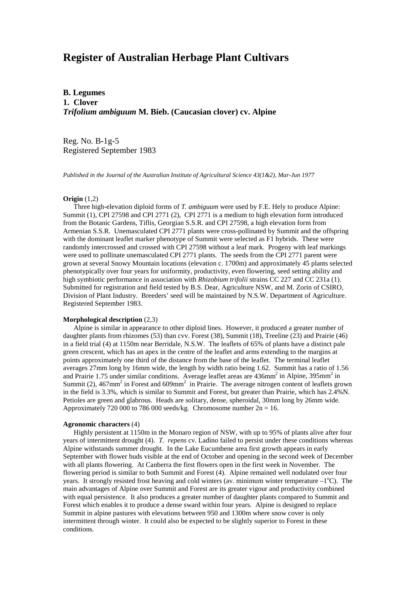# **Register of Australian Herbage Plant Cultivars**

**B. Legumes 1. Clover** *Trifolium ambiguum* **M. Bieb. (Caucasian clover) cv. Alpine**

Reg. No. B-1g-5 Registered September 1983

*Published in the Journal of the Australian Institute of Agricultural Science 43(1&2), Mar-Jun 1977*

### **Origin** (1,2)

 Three high-elevation diploid forms of *T. ambiguum* were used by F.E. Hely to produce Alpine: Summit (1), CPI 27598 and CPI 2771 (2), CPI 2771 is a medium to high elevation form introduced from the Botanic Gardens, Tiflis, Georgian S.S.R. and CPI 27598, a high elevation form from Armenian S.S.R. Unemasculated CPI 2771 plants were cross-pollinated by Summit and the offspring with the dominant leaflet marker phenotype of Summit were selected as F1 hybrids. These were randomly intercrossed and crossed with CPI 27598 without a leaf mark. Progeny with leaf markings were used to pollinate unemasculated CPI 2771 plants. The seeds from the CPI 2771 parent were grown at several Snowy Mountain locations (elevation c. 1700m) and approximately 45 plants selected phenotypically over four years for uniformity, productivity, even flowering, seed setting ability and high symbiotic performance in association with *Rhizobium trifolii* strains CC 227 and CC 231a (1). Submitted for registration and field tested by B.S. Dear, Agriculture NSW, and M. Zorin of CSIRO, Division of Plant Industry. Breeders' seed will be maintained by N.S.W. Department of Agriculture. Registered September 1983.

## **Morphological description** (2,3)

 Alpine is similar in appearance to other diploid lines. However, it produced a greater number of daughter plants from rhizomes (53) than cvv. Forest (38), Summit (18), Treeline (23) and Prairie (46) in a field trial (4) at 1150m near Berridale, N.S.W. The leaflets of 65% of plants have a distinct pale green crescent, which has an apex in the centre of the leaflet and arms extending to the margins at points approximately one third of the distance from the base of the leaflet. The terminal leaflet averages 27mm long by 16mm wide, the length by width ratio being 1.62. Summit has a ratio of 1.56 and Prairie 1.75 under similar conditions. Average leaflet areas are 436mm<sup>2</sup> in Alpine, 395mm<sup>2</sup> in Summit (2),  $467$ mm<sup>2</sup> in Forest and  $609$ mm<sup>2</sup> in Prairie. The average nitrogen content of leaflets grown in the field is 3.3%, which is similar to Summit and Forest, but greater than Prairie, which has 2.4%N. Petioles are green and glabrous. Heads are solitary, dense, spheroidal, 30mm long by 26mm wide. Approximately 720 000 to 786 000 seeds/kg. Chromosome number  $2n = 16$ .

#### **Agronomic characters** (4)

 Highly persistent at 1150m in the Monaro region of NSW, with up to 95% of plants alive after four years of intermittent drought (4). *T. repens* cv. Ladino failed to persist under these conditions whereas Alpine withstands summer drought. In the Lake Eucumbene area first growth appears in early September with flower buds visible at the end of October and opening in the second week of December with all plants flowering. At Canberra the first flowers open in the first week in November. The flowering period is similar to both Summit and Forest (4). Alpine remained well nodulated over four years. It strongly resisted frost heaving and cold winters (av. minimum winter temperature  $-1^{\circ}C$ ). The main advantages of Alpine over Summit and Forest are its greater vigour and productivity combined with equal persistence. It also produces a greater number of daughter plants compared to Summit and Forest which enables it to produce a dense sward within four years. Alpine is designed to replace Summit in alpine pastures with elevations between 950 and 1300m where snow cover is only intermittent through winter. It could also be expected to be slightly superior to Forest in these conditions.